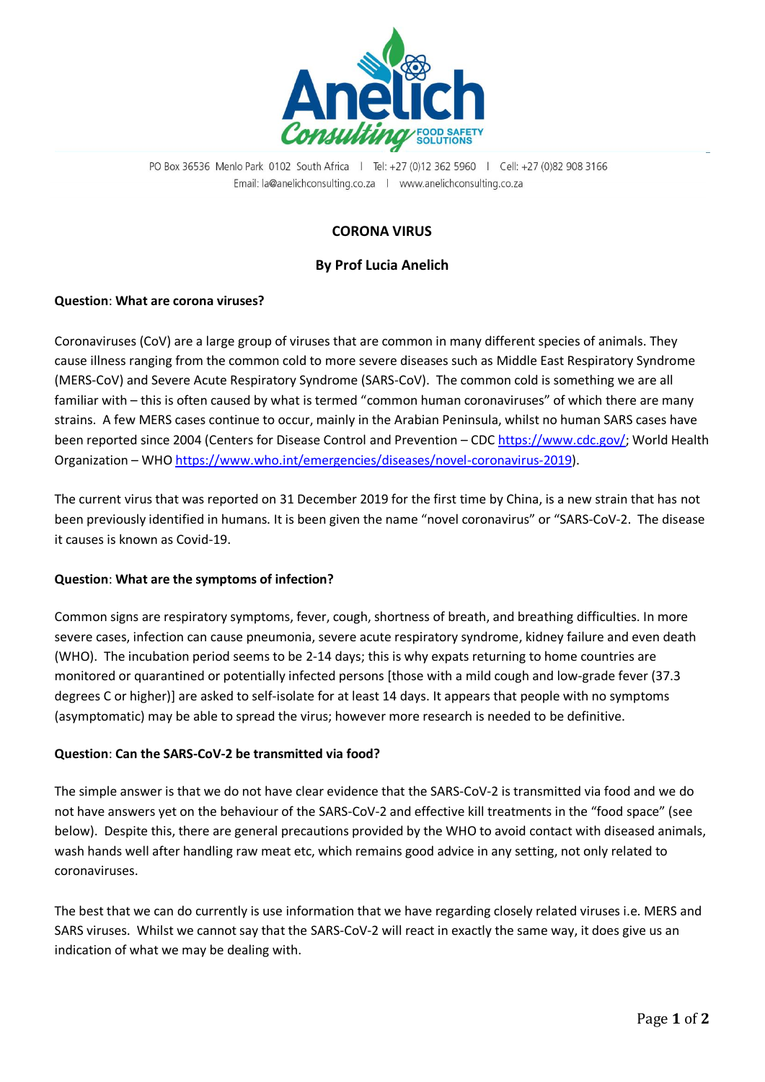

PO Box 36536 Menlo Park 0102 South Africa | Tel: +27 (0)12 362 5960 | Cell: +27 (0)82 908 3166 Email: la@anelichconsulting.co.za | www.anelichconsulting.co.za

# **CORONA VIRUS**

### **By Prof Lucia Anelich**

### **Question**: **What are corona viruses?**

Coronaviruses (CoV) are a large group of viruses that are common in many different species of animals. They cause illness ranging from the common cold to more severe diseases such as [Middle East Respiratory Syndrome](https://www.who.int/emergencies/mers-cov/en/)  [\(MERS-CoV\)](https://www.who.int/emergencies/mers-cov/en/) and [Severe Acute Respiratory Syndrome \(SARS-CoV\).](https://www.who.int/csr/sars/en/) The common cold is something we are all familiar with – this is often caused by what is termed "common human coronaviruses" of which there are many strains. A few MERS cases continue to occur, mainly in the Arabian Peninsula, whilst no human SARS cases have been reported since 2004 (Centers for Disease Control and Prevention – CDC [https://www.cdc.gov/;](https://www.cdc.gov/) World Health Organization – WHO [https://www.who.int/emergencies/diseases/novel-coronavirus-2019\)](https://www.who.int/emergencies/diseases/novel-coronavirus-2019).

The current virus that was reported on 31 December 2019 for the first time by China, is a new strain that has not been previously identified in humans. It is been given the name "novel coronavirus" or "SARS-CoV-2. The disease it causes is known as Covid-19.

#### **Question**: **What are the symptoms of infection?**

Common signs are respiratory symptoms, fever, cough, shortness of breath, and breathing difficulties. In more severe cases, infection can cause pneumonia, severe acute respiratory syndrome, kidney failure and even death (WHO). The incubation period seems to be 2-14 days; this is why expats returning to home countries are monitored or quarantined or potentially infected persons [those with a mild cough and low-grade fever (37.3 degrees C or higher)] are asked to self-isolate for at least 14 days. It appears that people with no symptoms (asymptomatic) may be able to spread the virus; however more research is needed to be definitive.

#### **Question**: **Can the SARS-CoV-2 be transmitted via food?**

The simple answer is that we do not have clear evidence that the SARS-CoV-2 is transmitted via food and we do not have answers yet on the behaviour of the SARS-CoV-2 and effective kill treatments in the "food space" (see below). Despite this, there are general precautions provided by the WHO to avoid contact with diseased animals, wash hands well after handling raw meat etc, which remains good advice in any setting, not only related to coronaviruses.

The best that we can do currently is use information that we have regarding closely related viruses i.e. MERS and SARS viruses. Whilst we cannot say that the SARS-CoV-2 will react in exactly the same way, it does give us an indication of what we may be dealing with.